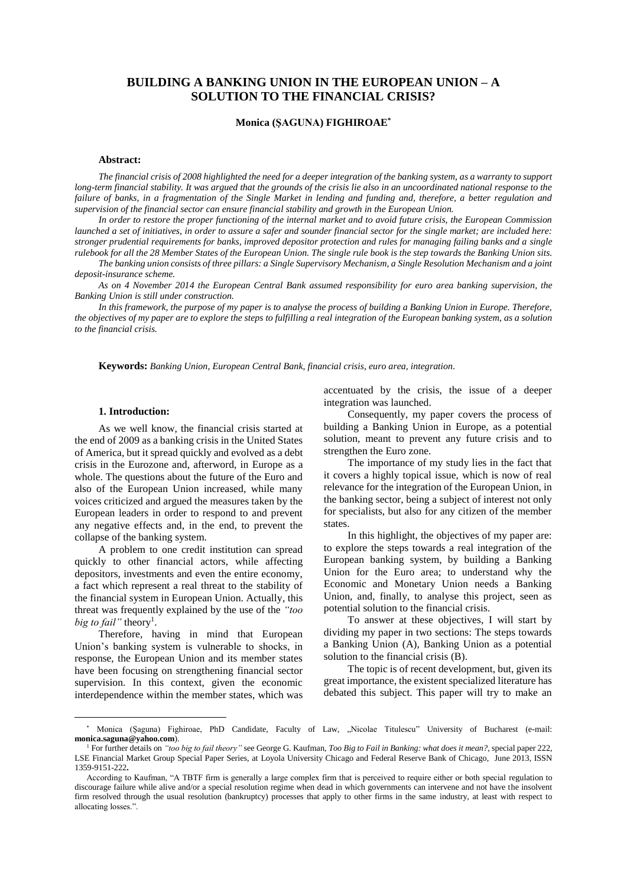# **BUILDING A BANKING UNION IN THE EUROPEAN UNION – A SOLUTION TO THE FINANCIAL CRISIS?**

# **Monica (ŞAGUNA) FIGHIROAE\***

## **Abstract:**

*The financial crisis of 2008 highlighted the need for a deeper integration of the banking system, as a warranty to support long-term financial stability. It was argued that the grounds of the crisis lie also in an uncoordinated national response to the failure of banks, in a fragmentation of the Single Market in lending and funding and, therefore, a better regulation and supervision of the financial sector can ensure financial stability and growth in the European Union.*

*In order to restore the proper functioning of the internal market and to avoid future crisis, the European Commission launched a set of initiatives, in order to assure a safer and sounder financial sector for the single market; are included here: stronger prudential requirements for banks, improved depositor protection and rules for managing failing banks and a single rulebook for all the 28 Member States of the European Union. The single rule book is the step towards the Banking Union sits.*

*The banking union consists of three pillars: a Single Supervisory Mechanism, a Single Resolution Mechanism and a joint deposit-insurance scheme.*

*As on 4 November 2014 the European Central Bank assumed responsibility for euro area banking supervision, the Banking Union is still under construction.*

In this framework, the purpose of my paper is to analyse the process of building a Banking Union in Europe. Therefore, *the objectives of my paper are to explore the steps to fulfilling a real integration of the European banking system, as a solution to the financial crisis.* 

**Keywords:** *Banking Union, European Central Bank, financial crisis, euro area, integration.*

# **1. Introduction:**

 $\overline{a}$ 

As we well know, the financial crisis started at the end of 2009 as a banking crisis in the United States of America, but it spread quickly and evolved as a debt crisis in the Eurozone and, afterword, in Europe as a whole. The questions about the future of the Euro and also of the European Union increased, while many voices criticized and argued the measures taken by the European leaders in order to respond to and prevent any negative effects and, in the end, to prevent the collapse of the banking system.

A problem to one credit institution can spread quickly to other financial actors, while affecting depositors, investments and even the entire economy, a fact which represent a real threat to the stability of the financial system in European Union. Actually, this threat was frequently explained by the use of the *"too big to fail*" theory<sup>1</sup>.

Therefore, having in mind that European Union's banking system is vulnerable to shocks, in response, the European Union and its member states have been focusing on strengthening financial sector supervision. In this context, given the economic interdependence within the member states, which was

accentuated by the crisis, the issue of a deeper integration was launched.

Consequently, my paper covers the process of building a Banking Union in Europe, as a potential solution, meant to prevent any future crisis and to strengthen the Euro zone.

The importance of my study lies in the fact that it covers a highly topical issue, which is now of real relevance for the integration of the European Union, in the banking sector, being a subject of interest not only for specialists, but also for any citizen of the member states.

In this highlight, the objectives of my paper are: to explore the steps towards a real integration of the European banking system, by building a Banking Union for the Euro area; to understand why the Economic and Monetary Union needs a Banking Union, and, finally, to analyse this project, seen as potential solution to the financial crisis.

To answer at these objectives, I will start by dividing my paper in two sections: The steps towards a Banking Union (A), Banking Union as a potential solution to the financial crisis (B).

The topic is of recent development, but, given its great importance, the existent specialized literature has debated this subject. This paper will try to make an

Monica (Şaguna) Fighiroae, PhD Candidate, Faculty of Law, "Nicolae Titulescu" University of Bucharest (e-mail: **monica.saguna@yahoo.com**).

<sup>1</sup> For further details on *"too big to fail theory"* see George G. Kaufman, *Too Big to Fail in Banking: what does it mean?*, special paper 222, LSE Financial Market Group Special Paper Series, at Loyola University Chicago and Federal Reserve Bank of Chicago, June 2013, ISSN 1359-9151-222**.** 

According to Kaufman, "A TBTF firm is generally a large complex firm that is perceived to require either or both special regulation to discourage failure while alive and/or a special resolution regime when dead in which governments can intervene and not have the insolvent firm resolved through the usual resolution (bankruptcy) processes that apply to other firms in the same industry, at least with respect to allocating losses.".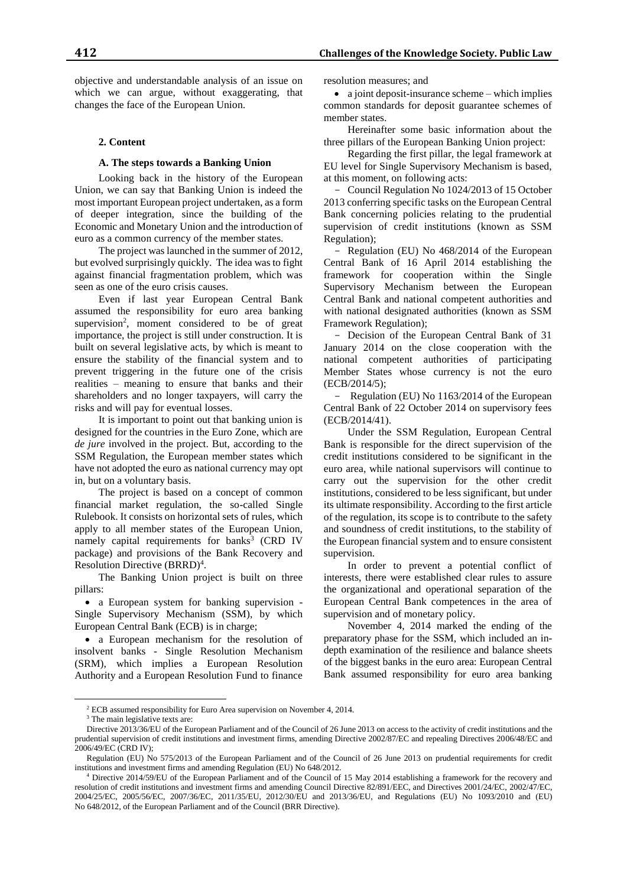objective and understandable analysis of an issue on which we can argue, without exaggerating, that changes the face of the European Union.

#### **2. Content**

## **A. The steps towards a Banking Union**

Looking back in the history of the European Union, we can say that Banking Union is indeed the most important European project undertaken, as a form of deeper integration, since the building of the Economic and Monetary Union and the introduction of euro as a common currency of the member states.

The project was launched in the summer of 2012, but evolved surprisingly quickly. The idea was to fight against financial fragmentation problem, which was seen as one of the euro crisis causes.

Even if last year European Central Bank assumed the responsibility for euro area banking supervision<sup>2</sup>, moment considered to be of great importance, the project is still under construction. It is built on several legislative acts, by which is meant to ensure the stability of the financial system and to prevent triggering in the future one of the crisis realities – meaning to ensure that banks and their shareholders and no longer taxpayers, will carry the risks and will pay for eventual losses.

It is important to point out that banking union is designed for the countries in the Euro Zone, which are *de jure* involved in the project. But, according to the SSM Regulation, the European member states which have not adopted the euro as national currency may opt in, but on a voluntary basis.

The project is based on a concept of common financial market regulation, the so-called Single Rulebook. It consists on horizontal sets of rules, which apply to all member states of the European Union, namely capital requirements for banks<sup>3</sup> (CRD IV package) and provisions of the Bank Recovery and Resolution Directive (BRRD)<sup>4</sup>.

The Banking Union project is built on three pillars:

• a European system for banking supervision -Single Supervisory Mechanism (SSM), by which European Central Bank (ECB) is in charge;

 a European mechanism for the resolution of insolvent banks - Single Resolution Mechanism (SRM), which implies a European Resolution Authority and a European Resolution Fund to finance

resolution measures; and

• a joint deposit-insurance scheme – which implies common standards for deposit guarantee schemes of member states.

Hereinafter some basic information about the three pillars of the European Banking Union project:

Regarding the first pillar, the legal framework at EU level for Single Supervisory Mechanism is based, at this moment, on following acts:

- Council Regulation No 1024/2013 of 15 October 2013 conferring specific tasks on the European Central Bank concerning policies relating to the prudential supervision of credit institutions (known as SSM Regulation);

- Regulation (EU) No 468/2014 of the European Central Bank of 16 April 2014 establishing the framework for cooperation within the Single Supervisory Mechanism between the European Central Bank and national competent authorities and with national designated authorities (known as SSM Framework Regulation);

- Decision of the European Central Bank of 31 January 2014 on the close cooperation with the national competent authorities of participating Member States whose currency is not the euro (ECB/2014/5);

- Regulation (EU) No 1163/2014 of the European Central Bank of 22 October 2014 on supervisory fees (ECB/2014/41).

Under the SSM Regulation, European Central Bank is responsible for the direct supervision of the credit institutions considered to be significant in the euro area, while national supervisors will continue to carry out the supervision for the other credit institutions, considered to be less significant, but under its ultimate responsibility. According to the first article of the regulation, its scope is to contribute to the safety and soundness of credit institutions, to the stability of the European financial system and to ensure consistent supervision.

In order to prevent a potential conflict of interests, there were established clear rules to assure the organizational and operational separation of the European Central Bank competences in the area of supervision and of monetary policy.

November 4, 2014 marked the ending of the preparatory phase for the SSM, which included an indepth examination of the resilience and balance sheets of the biggest banks in the euro area: European Central Bank assumed responsibility for euro area banking

 $\overline{a}$ 

<sup>2</sup> ECB assumed responsibility for Euro Area supervision on November 4, 2014.

<sup>&</sup>lt;sup>3</sup> The main legislative texts are:

Directive 2013/36/EU of the European Parliament and of the Council of 26 June 2013 on access to the activity of credit institutions and the prudential supervision of credit institutions and investment firms, amending Directive 2002/87/EC and repealing Directives 2006/48/EC and 2006/49/EC (CRD IV);

Regulation (EU) No 575/2013 of the European Parliament and of the Council of 26 June 2013 on prudential requirements for credit institutions and investment firms and amending Regulation (EU) No 648/2012.

<sup>4</sup> Directive 2014/59/EU of the European Parliament and of the Council of 15 May 2014 establishing a framework for the recovery and resolution of credit institutions and investment firms and amending Council Directive 82/891/EEC, and Directives 2001/24/EC, 2002/47/EC, 2004/25/EC, 2005/56/EC, 2007/36/EC, 2011/35/EU, 2012/30/EU and 2013/36/EU, and Regulations (EU) No 1093/2010 and (EU) No 648/2012, of the European Parliament and of the Council (BRR Directive).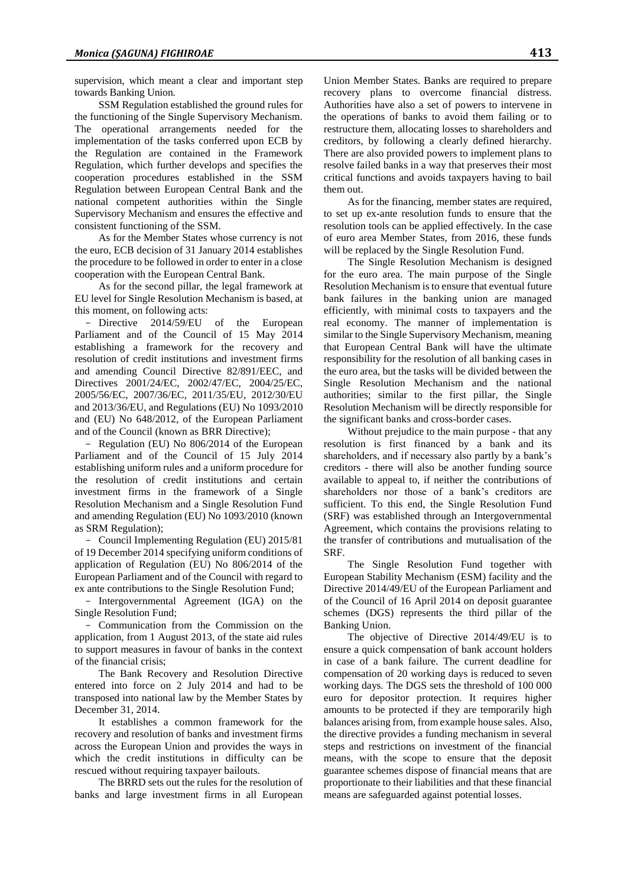supervision, which meant a clear and important step towards Banking Union.

SSM Regulation established the ground rules for the functioning of the Single Supervisory Mechanism. The operational arrangements needed for the implementation of the tasks conferred upon ECB by the Regulation are contained in the Framework Regulation, which further develops and specifies the cooperation procedures established in the SSM Regulation between European Central Bank and the national competent authorities within the Single Supervisory Mechanism and ensures the effective and consistent functioning of the SSM.

As for the Member States whose currency is not the euro, ECB decision of 31 January 2014 establishes the procedure to be followed in order to enter in a close cooperation with the European Central Bank.

As for the second pillar, the legal framework at EU level for Single Resolution Mechanism is based, at this moment, on following acts:

- Directive 2014/59/EU of the European Parliament and of the Council of 15 May 2014 establishing a framework for the recovery and resolution of credit institutions and investment firms and amending Council Directive 82/891/EEC, and Directives 2001/24/EC, 2002/47/EC, 2004/25/EC, 2005/56/EC, 2007/36/EC, 2011/35/EU, 2012/30/EU and 2013/36/EU, and Regulations (EU) No 1093/2010 and (EU) No 648/2012, of the European Parliament and of the Council (known as BRR Directive);

- Regulation (EU) No 806/2014 of the European Parliament and of the Council of 15 July 2014 establishing uniform rules and a uniform procedure for the resolution of credit institutions and certain investment firms in the framework of a Single Resolution Mechanism and a Single Resolution Fund and amending Regulation (EU) No 1093/2010 (known as SRM Regulation);

- Council Implementing Regulation (EU) 2015/81 of 19 December 2014 specifying uniform conditions of application of Regulation (EU) No 806/2014 of the European Parliament and of the Council with regard to ex ante contributions to the Single Resolution Fund;

- Intergovernmental Agreement (IGA) on the Single Resolution Fund;

 Communication from the Commission on the application, from 1 August 2013, of the state aid rules to support measures in favour of banks in the context of the financial crisis;

The Bank Recovery and Resolution Directive entered into force on 2 July 2014 and had to be transposed into national law by the Member States by December 31, 2014.

It establishes a common framework for the recovery and resolution of banks and investment firms across the European Union and provides the ways in which the credit institutions in difficulty can be rescued without requiring taxpayer bailouts.

The BRRD sets out the rules for the resolution of banks and large investment firms in all European

Union Member States. Banks are required to prepare recovery plans to overcome financial distress. Authorities have also a set of powers to intervene in the operations of banks to avoid them failing or to restructure them, allocating losses to shareholders and creditors, by following a clearly defined hierarchy. There are also provided powers to implement plans to resolve failed banks in a way that preserves their most critical functions and avoids taxpayers having to bail them out.

As for the financing, member states are required, to set up ex-ante resolution funds to ensure that the resolution tools can be applied effectively. In the case of euro area Member States, from 2016, these funds will be replaced by the Single Resolution Fund.

The Single Resolution Mechanism is designed for the euro area. The main purpose of the Single Resolution Mechanism is to ensure that eventual future bank failures in the banking union are managed efficiently, with minimal costs to taxpayers and the real economy. The manner of implementation is similar to the Single Supervisory Mechanism, meaning that European Central Bank will have the ultimate responsibility for the resolution of all banking cases in the euro area, but the tasks will be divided between the Single Resolution Mechanism and the national authorities; similar to the first pillar, the Single Resolution Mechanism will be directly responsible for the significant banks and cross-border cases.

Without prejudice to the main purpose - that any resolution is first financed by a bank and its shareholders, and if necessary also partly by a bank's creditors - there will also be another funding source available to appeal to, if neither the contributions of shareholders nor those of a bank's creditors are sufficient. To this end, the Single Resolution Fund (SRF) was established through an Intergovernmental Agreement, which contains the provisions relating to the transfer of contributions and mutualisation of the SRF.

The Single Resolution Fund together with European Stability Mechanism (ESM) facility and the Directive 2014/49/EU of the European Parliament and of the Council of 16 April 2014 on deposit guarantee schemes (DGS) represents the third pillar of the Banking Union.

The objective of Directive 2014/49/EU is to ensure a quick compensation of bank account holders in case of a bank failure. The current deadline for compensation of 20 working days is reduced to seven working days. The DGS sets the threshold of 100 000 euro for depositor protection. It requires higher amounts to be protected if they are temporarily high balances arising from, from example house sales. Also, the directive provides a funding mechanism in several steps and restrictions on investment of the financial means, with the scope to ensure that the deposit guarantee schemes dispose of financial means that are proportionate to their liabilities and that these financial means are safeguarded against potential losses.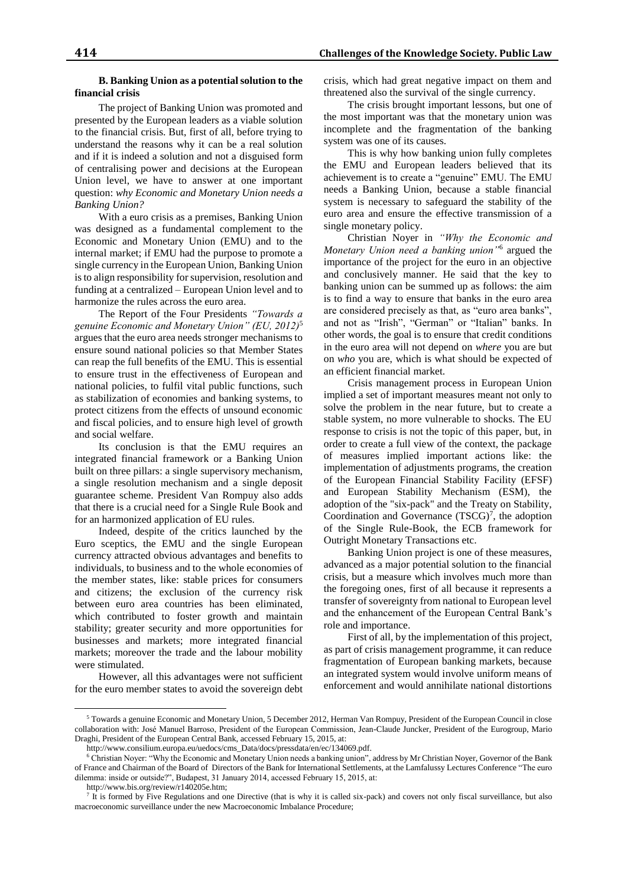## **B. Banking Union as a potential solution to the financial crisis**

The project of Banking Union was promoted and presented by the European leaders as a viable solution to the financial crisis. But, first of all, before trying to understand the reasons why it can be a real solution and if it is indeed a solution and not a disguised form of centralising power and decisions at the European Union level, we have to answer at one important question: *why Economic and Monetary Union needs a Banking Union?* 

With a euro crisis as a premises, Banking Union was designed as a fundamental complement to the Economic and Monetary Union (EMU) and to the internal market; if EMU had the purpose to promote a single currency in the European Union, Banking Union is to align responsibility for supervision, resolution and funding at a centralized – European Union level and to harmonize the rules across the euro area.

The Report of the Four Presidents *"Towards a genuine Economic and Monetary Union" (EU, 2012)*<sup>5</sup> argues that the euro area needs stronger mechanisms to ensure sound national policies so that Member States can reap the full benefits of the EMU. This is essential to ensure trust in the effectiveness of European and national policies, to fulfil vital public functions, such as stabilization of economies and banking systems, to protect citizens from the effects of unsound economic and fiscal policies, and to ensure high level of growth and social welfare.

Its conclusion is that the EMU requires an integrated financial framework or a Banking Union built on three pillars: a single supervisory mechanism, a single resolution mechanism and a single deposit guarantee scheme. President Van Rompuy also adds that there is a crucial need for a Single Rule Book and for an harmonized application of EU rules.

Indeed, despite of the critics launched by the Euro sceptics, the EMU and the single European currency attracted obvious advantages and benefits to individuals, to business and to the whole economies of the member states, like: stable prices for consumers and citizens; the exclusion of the currency risk between euro area countries has been eliminated, which contributed to foster growth and maintain stability; greater security and more opportunities for businesses and markets; more integrated financial markets; moreover the trade and the labour mobility were stimulated.

However, all this advantages were not sufficient for the euro member states to avoid the sovereign debt crisis, which had great negative impact on them and threatened also the survival of the single currency.

The crisis brought important lessons, but one of the most important was that the monetary union was incomplete and the fragmentation of the banking system was one of its causes.

This is why how banking union fully completes the EMU and European leaders believed that its achievement is to create a "genuine" EMU. The EMU needs a Banking Union, because a stable financial system is necessary to safeguard the stability of the euro area and ensure the effective transmission of a single monetary policy.

Christian Noyer in *"Why the Economic and Monetary Union need a banking union"*<sup>6</sup> argued the importance of the project for the euro in an objective and conclusively manner. He said that the key to banking union can be summed up as follows: the aim is to find a way to ensure that banks in the euro area are considered precisely as that, as "euro area banks", and not as "Irish", "German" or "Italian" banks. In other words, the goal is to ensure that credit conditions in the euro area will not depend on *where* you are but on *who* you are, which is what should be expected of an efficient financial market.

Crisis management process in European Union implied a set of important measures meant not only to solve the problem in the near future, but to create a stable system, no more vulnerable to shocks. The EU response to crisis is not the topic of this paper, but, in order to create a full view of the context, the package of measures implied important actions like: the implementation of adjustments programs, the creation of the European Financial Stability Facility (EFSF) and European Stability Mechanism (ESM), the adoption of the "six-pack" and the Treaty on Stability, Coordination and Governance  $(TSCG)^7$ , the adoption of the Single Rule-Book, the ECB framework for Outright Monetary Transactions etc.

Banking Union project is one of these measures, advanced as a major potential solution to the financial crisis, but a measure which involves much more than the foregoing ones, first of all because it represents a transfer of sovereignty from national to European level and the enhancement of the European Central Bank's role and importance.

First of all, by the implementation of this project, as part of crisis management programme, it can reduce fragmentation of European banking markets, because an integrated system would involve uniform means of enforcement and would annihilate national distortions

 $\overline{a}$ 

<sup>5</sup> Towards a genuine Economic and Monetary Union, 5 December 2012, Herman Van Rompuy, President of the European Council in close collaboration with: José Manuel Barroso, President of the European Commission, Jean-Claude Juncker, President of the Eurogroup, Mario Draghi, President of the European Central Bank, accessed February 15, 2015, at:

http://www.consilium.europa.eu/uedocs/cms\_Data/docs/pressdata/en/ec/134069.pdf.

<sup>6</sup> Christian Noyer: "Why the Economic and Monetary Union needs a banking union", address by Mr Christian Noyer, Governor of the Bank of France and Chairman of the Board of Directors of the Bank for International Settlements, at the Lamfalussy Lectures Conference "The euro dilemma: inside or outside?", Budapest, 31 January 2014, accessed February 15, 2015, at:

http://www.bis.org/review/r140205e.htm;

<sup>7</sup> It is formed by Five Regulations and one Directive (that is why it is called six-pack) and covers not only fiscal surveillance, but also macroeconomic surveillance under the new Macroeconomic Imbalance Procedure;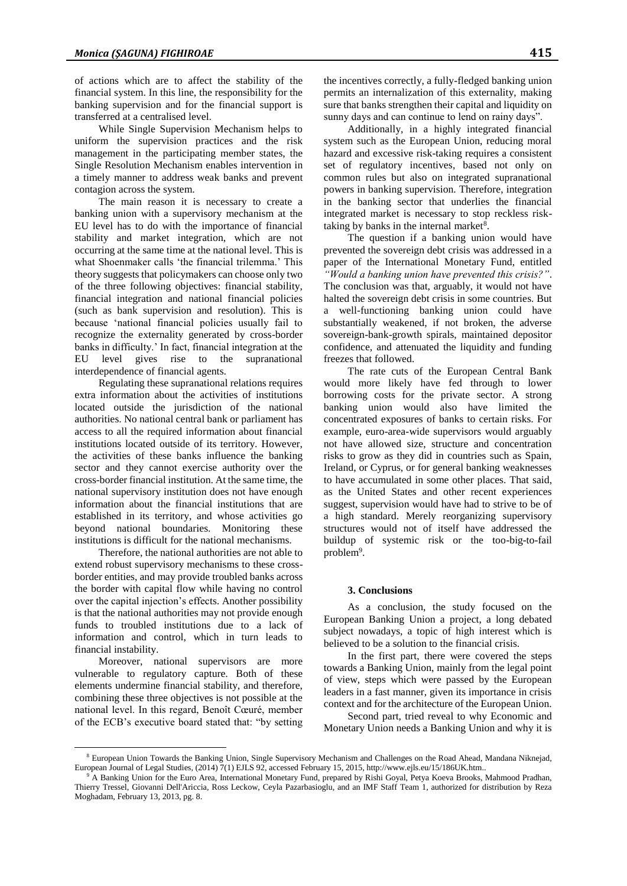of actions which are to affect the stability of the financial system. In this line, the responsibility for the banking supervision and for the financial support is transferred at a centralised level.

While Single Supervision Mechanism helps to uniform the supervision practices and the risk management in the participating member states, the Single Resolution Mechanism enables intervention in a timely manner to address weak banks and prevent contagion across the system.

The main reason it is necessary to create a banking union with a supervisory mechanism at the EU level has to do with the importance of financial stability and market integration, which are not occurring at the same time at the national level. This is what Shoenmaker calls 'the financial trilemma.' This theory suggests that policymakers can choose only two of the three following objectives: financial stability, financial integration and national financial policies (such as bank supervision and resolution). This is because 'national financial policies usually fail to recognize the externality generated by cross-border banks in difficulty.' In fact, financial integration at the EU level gives rise to the supranational interdependence of financial agents.

Regulating these supranational relations requires extra information about the activities of institutions located outside the jurisdiction of the national authorities. No national central bank or parliament has access to all the required information about financial institutions located outside of its territory. However, the activities of these banks influence the banking sector and they cannot exercise authority over the cross-border financial institution. At the same time, the national supervisory institution does not have enough information about the financial institutions that are established in its territory, and whose activities go beyond national boundaries. Monitoring these institutions is difficult for the national mechanisms.

Therefore, the national authorities are not able to extend robust supervisory mechanisms to these crossborder entities, and may provide troubled banks across the border with capital flow while having no control over the capital injection's effects. Another possibility is that the national authorities may not provide enough funds to troubled institutions due to a lack of information and control, which in turn leads to financial instability.

Moreover, national supervisors are more vulnerable to regulatory capture. Both of these elements undermine financial stability, and therefore, combining these three objectives is not possible at the national level. In this regard, Benoît Cœuré, member of the ECB's executive board stated that: "by setting

 $\overline{a}$ 

the incentives correctly, a fully-fledged banking union permits an internalization of this externality, making sure that banks strengthen their capital and liquidity on sunny days and can continue to lend on rainy days".

Additionally, in a highly integrated financial system such as the European Union, reducing moral hazard and excessive risk-taking requires a consistent set of regulatory incentives, based not only on common rules but also on integrated supranational powers in banking supervision. Therefore, integration in the banking sector that underlies the financial integrated market is necessary to stop reckless risktaking by banks in the internal market $8$ .

The question if a banking union would have prevented the sovereign debt crisis was addressed in a paper of the International Monetary Fund, entitled *"Would a banking union have prevented this crisis?"*. The conclusion was that, arguably, it would not have halted the sovereign debt crisis in some countries. But a well-functioning banking union could have substantially weakened, if not broken, the adverse sovereign-bank-growth spirals, maintained depositor confidence, and attenuated the liquidity and funding freezes that followed.

The rate cuts of the European Central Bank would more likely have fed through to lower borrowing costs for the private sector. A strong banking union would also have limited the concentrated exposures of banks to certain risks. For example, euro-area-wide supervisors would arguably not have allowed size, structure and concentration risks to grow as they did in countries such as Spain, Ireland, or Cyprus, or for general banking weaknesses to have accumulated in some other places. That said, as the United States and other recent experiences suggest, supervision would have had to strive to be of a high standard. Merely reorganizing supervisory structures would not of itself have addressed the buildup of systemic risk or the too-big-to-fail problem<sup>9</sup>.

#### **3. Conclusions**

As a conclusion, the study focused on the European Banking Union a project, a long debated subject nowadays, a topic of high interest which is believed to be a solution to the financial crisis.

In the first part, there were covered the steps towards a Banking Union, mainly from the legal point of view, steps which were passed by the European leaders in a fast manner, given its importance in crisis context and for the architecture of the European Union.

Second part, tried reveal to why Economic and Monetary Union needs a Banking Union and why it is

<sup>8</sup> European Union Towards the Banking Union, Single Supervisory Mechanism and Challenges on the Road Ahead, Mandana Niknejad, European Journal of Legal Studies, (2014) 7(1) EJLS 92, accessed February 15, 2015, http://www.ejls.eu/15/186UK.htm..

<sup>9</sup> A Banking Union for the Euro Area, International Monetary Fund, prepared by Rishi Goyal, Petya Koeva Brooks, Mahmood Pradhan, Thierry Tressel, Giovanni Dell'Ariccia, Ross Leckow, Ceyla Pazarbasioglu, and an IMF Staff Team 1, authorized for distribution by Reza Moghadam, February 13, 2013, pg. 8.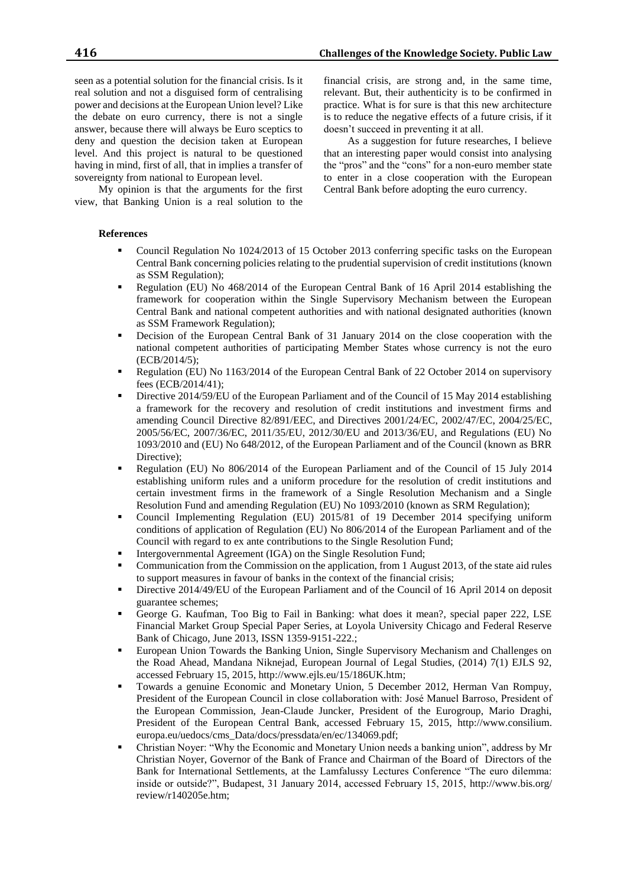My opinion is that the arguments for the first view, that Banking Union is a real solution to the

**References**

- Council Regulation No 1024/2013 of 15 October 2013 conferring specific tasks on the European Central Bank concerning policies relating to the prudential supervision of credit institutions (known as SSM Regulation);
- Regulation (EU) No 468/2014 of the European Central Bank of 16 April 2014 establishing the framework for cooperation within the Single Supervisory Mechanism between the European Central Bank and national competent authorities and with national designated authorities (known as SSM Framework Regulation);
- Decision of the European Central Bank of 31 January 2014 on the close cooperation with the national competent authorities of participating Member States whose currency is not the euro (ECB/2014/5);
- Regulation (EU) No 1163/2014 of the European Central Bank of 22 October 2014 on supervisory fees (ECB/2014/41);
- Directive 2014/59/EU of the European Parliament and of the Council of 15 May 2014 establishing a framework for the recovery and resolution of credit institutions and investment firms and amending Council Directive 82/891/EEC, and Directives 2001/24/EC, 2002/47/EC, 2004/25/EC, 2005/56/EC, 2007/36/EC, 2011/35/EU, 2012/30/EU and 2013/36/EU, and Regulations (EU) No 1093/2010 and (EU) No 648/2012, of the European Parliament and of the Council (known as BRR Directive);
- Regulation (EU) No 806/2014 of the European Parliament and of the Council of 15 July 2014 establishing uniform rules and a uniform procedure for the resolution of credit institutions and certain investment firms in the framework of a Single Resolution Mechanism and a Single Resolution Fund and amending Regulation (EU) No 1093/2010 (known as SRM Regulation);
- Council Implementing Regulation (EU) 2015/81 of 19 December 2014 specifying uniform conditions of application of Regulation (EU) No 806/2014 of the European Parliament and of the Council with regard to ex ante contributions to the Single Resolution Fund;
- Intergovernmental Agreement (IGA) on the Single Resolution Fund;
- Communication from the Commission on the application, from 1 August 2013, of the state aid rules to support measures in favour of banks in the context of the financial crisis;
- Directive 2014/49/EU of the European Parliament and of the Council of 16 April 2014 on deposit guarantee schemes;
- George G. Kaufman, Too Big to Fail in Banking: what does it mean?, special paper 222, LSE Financial Market Group Special Paper Series, at Loyola University Chicago and Federal Reserve Bank of Chicago, June 2013, ISSN 1359-9151-222.;
- European Union Towards the Banking Union, Single Supervisory Mechanism and Challenges on the Road Ahead, Mandana Niknejad, European Journal of Legal Studies, (2014) 7(1) EJLS 92, accessed February 15, 2015, http://www.ejls.eu/15/186UK.htm;
- Towards a genuine Economic and Monetary Union, 5 December 2012, Herman Van Rompuy, President of the European Council in close collaboration with: José Manuel Barroso, President of the European Commission, Jean-Claude Juncker, President of the Eurogroup, Mario Draghi, President of the European Central Bank, accessed February 15, 2015, http://www.consilium. europa.eu/uedocs/cms\_Data/docs/pressdata/en/ec/134069.pdf;
- Christian Noyer: "Why the Economic and Monetary Union needs a banking union", address by Mr Christian Noyer, Governor of the Bank of France and Chairman of the Board of Directors of the Bank for International Settlements, at the Lamfalussy Lectures Conference "The euro dilemma: inside or outside?", Budapest, 31 January 2014, accessed February 15, 2015, http://www.bis.org/ review/r140205e.htm;

**416 Challenges of the Knowledge Society. Public Law**

financial crisis, are strong and, in the same time, relevant. But, their authenticity is to be confirmed in practice. What is for sure is that this new architecture is to reduce the negative effects of a future crisis, if it doesn't succeed in preventing it at all.

As a suggestion for future researches, I believe that an interesting paper would consist into analysing the "pros" and the "cons" for a non-euro member state to enter in a close cooperation with the European Central Bank before adopting the euro currency.